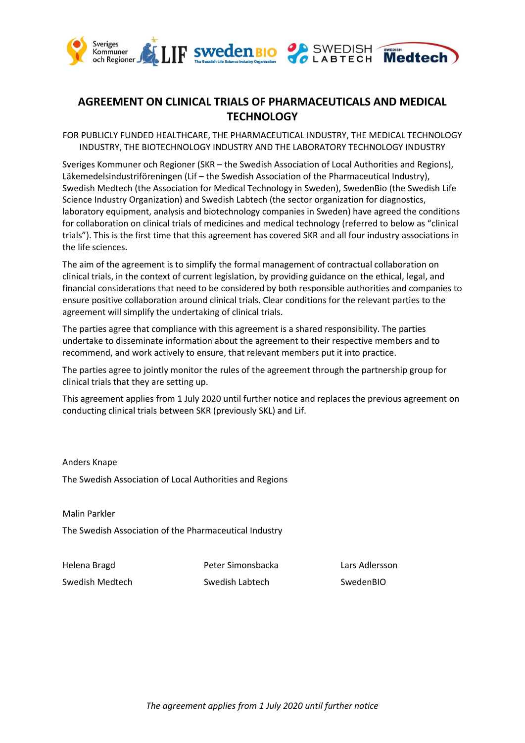

### **AGREEMENT ON CLINICAL TRIALS OF PHARMACEUTICALS AND MEDICAL TECHNOLOGY**

FOR PUBLICLY FUNDED HEALTHCARE, THE PHARMACEUTICAL INDUSTRY, THE MEDICAL TECHNOLOGY INDUSTRY, THE BIOTECHNOLOGY INDUSTRY AND THE LABORATORY TECHNOLOGY INDUSTRY

Sveriges Kommuner och Regioner (SKR – the Swedish Association of Local Authorities and Regions), Läkemedelsindustriföreningen (Lif – the Swedish Association of the Pharmaceutical Industry), Swedish Medtech (the Association for Medical Technology in Sweden), SwedenBio (the Swedish Life Science Industry Organization) and Swedish Labtech (the sector organization for diagnostics, laboratory equipment, analysis and biotechnology companies in Sweden) have agreed the conditions for collaboration on clinical trials of medicines and medical technology (referred to below as "clinical trials"). This is the first time that this agreement has covered SKR and all four industry associations in the life sciences.

The aim of the agreement is to simplify the formal management of contractual collaboration on clinical trials, in the context of current legislation, by providing guidance on the ethical, legal, and financial considerations that need to be considered by both responsible authorities and companies to ensure positive collaboration around clinical trials. Clear conditions for the relevant parties to the agreement will simplify the undertaking of clinical trials.

The parties agree that compliance with this agreement is a shared responsibility. The parties undertake to disseminate information about the agreement to their respective members and to recommend, and work actively to ensure, that relevant members put it into practice.

The parties agree to jointly monitor the rules of the agreement through the partnership group for clinical trials that they are setting up.

This agreement applies from 1 July 2020 until further notice and replaces the previous agreement on conducting clinical trials between SKR (previously SKL) and Lif.

Anders Knape

The Swedish Association of Local Authorities and Regions

Malin Parkler

The Swedish Association of the Pharmaceutical Industry

Helena Bragd Peter Simonsbacka Lars Adlersson

Swedish Medtech Swedish Labtech SwedenBIO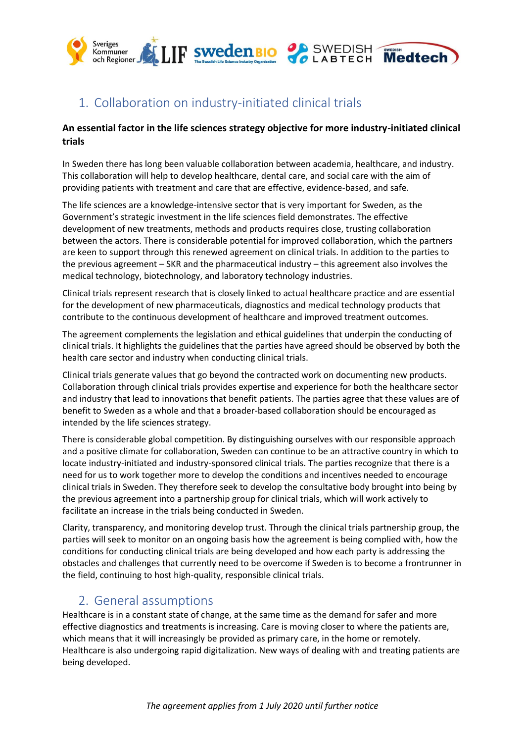

# 1. Collaboration on industry-initiated clinical trials

### **An essential factor in the life sciences strategy objective for more industry-initiated clinical trials**

In Sweden there has long been valuable collaboration between academia, healthcare, and industry. This collaboration will help to develop healthcare, dental care, and social care with the aim of providing patients with treatment and care that are effective, evidence-based, and safe.

The life sciences are a knowledge-intensive sector that is very important for Sweden, as the Government's strategic investment in the life sciences field demonstrates. The effective development of new treatments, methods and products requires close, trusting collaboration between the actors. There is considerable potential for improved collaboration, which the partners are keen to support through this renewed agreement on clinical trials. In addition to the parties to the previous agreement – SKR and the pharmaceutical industry – this agreement also involves the medical technology, biotechnology, and laboratory technology industries.

Clinical trials represent research that is closely linked to actual healthcare practice and are essential for the development of new pharmaceuticals, diagnostics and medical technology products that contribute to the continuous development of healthcare and improved treatment outcomes.

The agreement complements the legislation and ethical guidelines that underpin the conducting of clinical trials. It highlights the guidelines that the parties have agreed should be observed by both the health care sector and industry when conducting clinical trials.

Clinical trials generate values that go beyond the contracted work on documenting new products. Collaboration through clinical trials provides expertise and experience for both the healthcare sector and industry that lead to innovations that benefit patients. The parties agree that these values are of benefit to Sweden as a whole and that a broader-based collaboration should be encouraged as intended by the life sciences strategy.

There is considerable global competition. By distinguishing ourselves with our responsible approach and a positive climate for collaboration, Sweden can continue to be an attractive country in which to locate industry-initiated and industry-sponsored clinical trials. The parties recognize that there is a need for us to work together more to develop the conditions and incentives needed to encourage clinical trials in Sweden. They therefore seek to develop the consultative body brought into being by the previous agreement into a partnership group for clinical trials, which will work actively to facilitate an increase in the trials being conducted in Sweden.

Clarity, transparency, and monitoring develop trust. Through the clinical trials partnership group, the parties will seek to monitor on an ongoing basis how the agreement is being complied with, how the conditions for conducting clinical trials are being developed and how each party is addressing the obstacles and challenges that currently need to be overcome if Sweden is to become a frontrunner in the field, continuing to host high-quality, responsible clinical trials.

# 2. General assumptions

Healthcare is in a constant state of change, at the same time as the demand for safer and more effective diagnostics and treatments is increasing. Care is moving closer to where the patients are, which means that it will increasingly be provided as primary care, in the home or remotely. Healthcare is also undergoing rapid digitalization. New ways of dealing with and treating patients are being developed.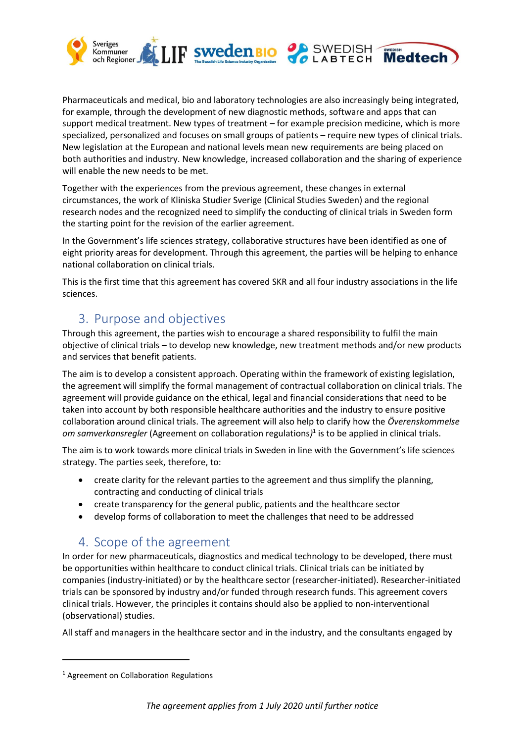

Pharmaceuticals and medical, bio and laboratory technologies are also increasingly being integrated, for example, through the development of new diagnostic methods, software and apps that can support medical treatment. New types of treatment – for example precision medicine, which is more specialized, personalized and focuses on small groups of patients – require new types of clinical trials. New legislation at the European and national levels mean new requirements are being placed on both authorities and industry. New knowledge, increased collaboration and the sharing of experience will enable the new needs to be met.

Together with the experiences from the previous agreement, these changes in external circumstances, the work of Kliniska Studier Sverige (Clinical Studies Sweden) and the regional research nodes and the recognized need to simplify the conducting of clinical trials in Sweden form the starting point for the revision of the earlier agreement.

In the Government's life sciences strategy, collaborative structures have been identified as one of eight priority areas for development. Through this agreement, the parties will be helping to enhance national collaboration on clinical trials.

This is the first time that this agreement has covered SKR and all four industry associations in the life sciences.

# 3. Purpose and objectives

Through this agreement, the parties wish to encourage a shared responsibility to fulfil the main objective of clinical trials – to develop new knowledge, new treatment methods and/or new products and services that benefit patients.

The aim is to develop a consistent approach. Operating within the framework of existing legislation, the agreement will simplify the formal management of contractual collaboration on clinical trials. The agreement will provide guidance on the ethical, legal and financial considerations that need to be taken into account by both responsible healthcare authorities and the industry to ensure positive collaboration around clinical trials. The agreement will also help to clarify how the *Överenskommelse om samverkansregler* (Agreement on collaboration regulations*)* 1 is to be applied in clinical trials.

The aim is to work towards more clinical trials in Sweden in line with the Government's life sciences strategy. The parties seek, therefore, to:

- create clarity for the relevant parties to the agreement and thus simplify the planning, contracting and conducting of clinical trials
- create transparency for the general public, patients and the healthcare sector
- develop forms of collaboration to meet the challenges that need to be addressed

# 4. Scope of the agreement

In order for new pharmaceuticals, diagnostics and medical technology to be developed, there must be opportunities within healthcare to conduct clinical trials. Clinical trials can be initiated by companies (industry-initiated) or by the healthcare sector (researcher-initiated). Researcher-initiated trials can be sponsored by industry and/or funded through research funds. This agreement covers clinical trials. However, the principles it contains should also be applied to non-interventional (observational) studies.

All staff and managers in the healthcare sector and in the industry, and the consultants engaged by

<sup>1</sup> Agreement on Collaboration Regulations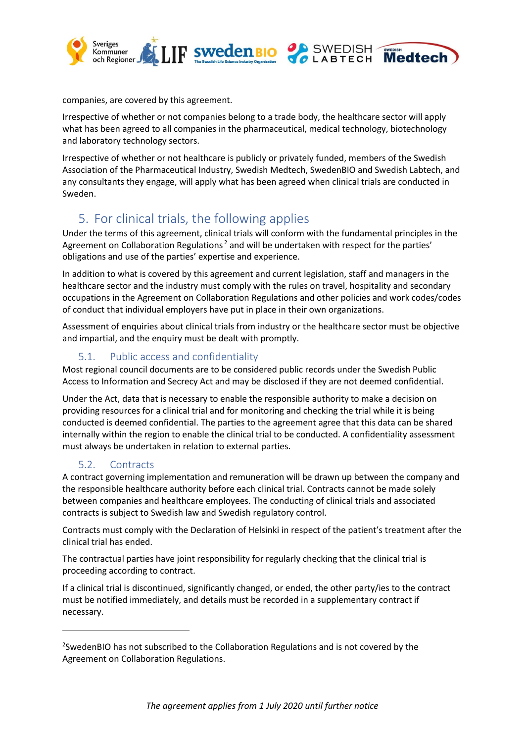

companies, are covered by this agreement.

Irrespective of whether or not companies belong to a trade body, the healthcare sector will apply what has been agreed to all companies in the pharmaceutical, medical technology, biotechnology and laboratory technology sectors.

Irrespective of whether or not healthcare is publicly or privately funded, members of the Swedish Association of the Pharmaceutical Industry, Swedish Medtech, SwedenBIO and Swedish Labtech, and any consultants they engage, will apply what has been agreed when clinical trials are conducted in Sweden.

# 5. For clinical trials, the following applies

Under the terms of this agreement, clinical trials will conform with the fundamental principles in the Agreement on Collaboration Regulations<sup>2</sup> and will be undertaken with respect for the parties' obligations and use of the parties' expertise and experience.

In addition to what is covered by this agreement and current legislation, staff and managers in the healthcare sector and the industry must comply with the rules on travel, hospitality and secondary occupations in the Agreement on Collaboration Regulations and other policies and work codes/codes of conduct that individual employers have put in place in their own organizations.

Assessment of enquiries about clinical trials from industry or the healthcare sector must be objective and impartial, and the enquiry must be dealt with promptly.

### 5.1. Public access and confidentiality

Most regional council documents are to be considered public records under the Swedish Public Access to Information and Secrecy Act and may be disclosed if they are not deemed confidential.

Under the Act, data that is necessary to enable the responsible authority to make a decision on providing resources for a clinical trial and for monitoring and checking the trial while it is being conducted is deemed confidential. The parties to the agreement agree that this data can be shared internally within the region to enable the clinical trial to be conducted. A confidentiality assessment must always be undertaken in relation to external parties.

### 5.2. Contracts

A contract governing implementation and remuneration will be drawn up between the company and the responsible healthcare authority before each clinical trial. Contracts cannot be made solely between companies and healthcare employees. The conducting of clinical trials and associated contracts is subject to Swedish law and Swedish regulatory control.

Contracts must comply with the Declaration of Helsinki in respect of the patient's treatment after the clinical trial has ended.

The contractual parties have joint responsibility for regularly checking that the clinical trial is proceeding according to contract.

If a clinical trial is discontinued, significantly changed, or ended, the other party/ies to the contract must be notified immediately, and details must be recorded in a supplementary contract if necessary.

<sup>&</sup>lt;sup>2</sup>SwedenBIO has not subscribed to the Collaboration Regulations and is not covered by the Agreement on Collaboration Regulations.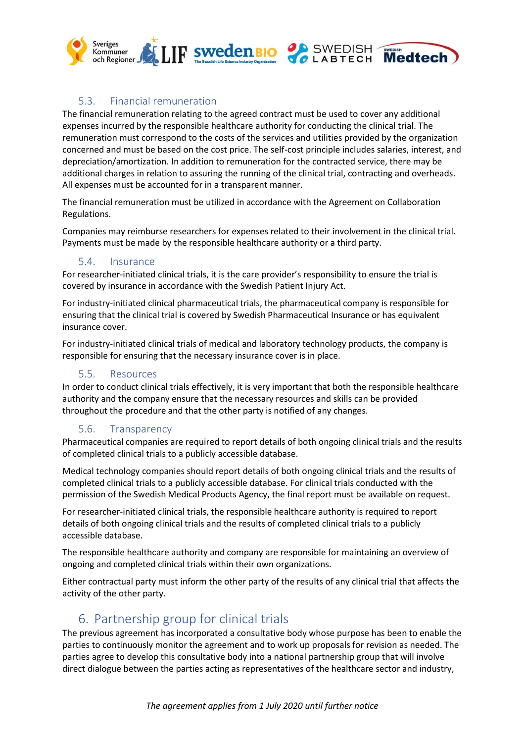

### 5.3. Financial remuneration

The financial remuneration relating to the agreed contract must be used to cover any additional expenses incurred by the responsible healthcare authority for conducting the clinical trial. The remuneration must correspond to the costs of the services and utilities provided by the organization concerned and must be based on the cost price. The self-cost principle includes salaries, interest, and depreciation/amortization. In addition to remuneration for the contracted service, there may be additional charges in relation to assuring the running of the clinical trial, contracting and overheads. All expenses must be accounted for in a transparent manner.

The financial remuneration must be utilized in accordance with the Agreement on Collaboration Regulations.

Companies may reimburse researchers for expenses related to their involvement in the clinical trial. Payments must be made by the responsible healthcare authority or a third party.

#### 5.4. Insurance

For researcher-initiated clinical trials, it is the care provider's responsibility to ensure the trial is covered by insurance in accordance with the Swedish Patient Injury Act.

For industry-initiated clinical pharmaceutical trials, the pharmaceutical company is responsible for ensuring that the clinical trial is covered by Swedish Pharmaceutical Insurance or has equivalent insurance cover.

For industry-initiated clinical trials of medical and laboratory technology products, the company is responsible for ensuring that the necessary insurance cover is in place.

### 5.5. Resources

In order to conduct clinical trials effectively, it is very important that both the responsible healthcare authority and the company ensure that the necessary resources and skills can be provided throughout the procedure and that the other party is notified of any changes.

### 5.6. Transparency

Pharmaceutical companies are required to report details of both ongoing clinical trials and the results of completed clinical trials to a publicly accessible database.

Medical technology companies should report details of both ongoing clinical trials and the results of completed clinical trials to a publicly accessible database. For clinical trials conducted with the permission of the Swedish Medical Products Agency, the final report must be available on request.

For researcher-initiated clinical trials, the responsible healthcare authority is required to report details of both ongoing clinical trials and the results of completed clinical trials to a publicly accessible database.

The responsible healthcare authority and company are responsible for maintaining an overview of ongoing and completed clinical trials within their own organizations.

Either contractual party must inform the other party of the results of any clinical trial that affects the activity of the other party.

# 6. Partnership group for clinical trials

The previous agreement has incorporated a consultative body whose purpose has been to enable the parties to continuously monitor the agreement and to work up proposals for revision as needed. The parties agree to develop this consultative body into a national partnership group that will involve direct dialogue between the parties acting as representatives of the healthcare sector and industry,